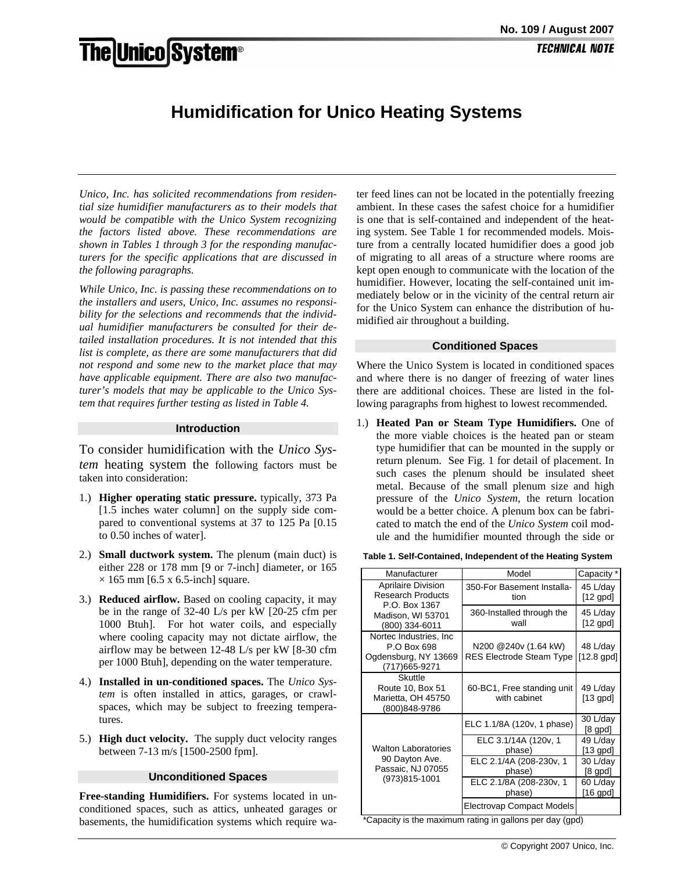# **The Unico System®**

## **Humidification for Unico Heating Systems**

*Unico, Inc. has solicited recommendations from residential size humidifier manufacturers as to their models that would be compatible with the Unico System recognizing the factors listed above. These recommendations are shown in Tables 1 through 3 for the responding manufacturers for the specific applications that are discussed in the following paragraphs.* 

*While Unico, Inc. is passing these recommendations on to the installers and users, Unico, Inc. assumes no responsibility for the selections and recommends that the individual humidifier manufacturers be consulted for their detailed installation procedures. It is not intended that this list is complete, as there are some manufacturers that did not respond and some new to the market place that may have applicable equipment. There are also two manufacturer's models that may be applicable to the Unico System that requires further testing as listed in Table 4.*

#### **Introduction**

To consider humidification with the *Unico System* heating system the following factors must be taken into consideration:

- 1.) **Higher operating static pressure.** typically, 373 Pa [1.5 inches water column] on the supply side compared to conventional systems at 37 to 125 Pa [0.15 to 0.50 inches of water].
- 2.) **Small ductwork system.** The plenum (main duct) is either 228 or 178 mm [9 or 7-inch] diameter, or 165  $\times$  165 mm [6.5 x 6.5-inch] square.
- 3.) **Reduced airflow.** Based on cooling capacity, it may be in the range of 32-40 L/s per kW [20-25 cfm per 1000 Btuh]. For hot water coils, and especially where cooling capacity may not dictate airflow, the airflow may be between 12-48 L/s per kW [8-30 cfm per 1000 Btuh], depending on the water temperature.
- 4.) **Installed in un-conditioned spaces.** The *Unico System* is often installed in attics, garages, or crawlspaces, which may be subject to freezing temperatures.
- 5.) **High duct velocity.** The supply duct velocity ranges between 7-13 m/s [1500-2500 fpm].

#### **Unconditioned Spaces**

**Free-standing Humidifiers.** For systems located in unconditioned spaces, such as attics, unheated garages or basements, the humidification systems which require water feed lines can not be located in the potentially freezing ambient. In these cases the safest choice for a humidifier is one that is self-contained and independent of the heating system. See Table 1 for recommended models. Moisture from a centrally located humidifier does a good job of migrating to all areas of a structure where rooms are kept open enough to communicate with the location of the humidifier. However, locating the self-contained unit immediately below or in the vicinity of the central return air for the Unico System can enhance the distribution of humidified air throughout a building.

#### **Conditioned Spaces**

Where the Unico System is located in conditioned spaces and where there is no danger of freezing of water lines there are additional choices. These are listed in the following paragraphs from highest to lowest recommended.

1.) **Heated Pan or Steam Type Humidifiers.** One of the more viable choices is the heated pan or steam type humidifier that can be mounted in the supply or return plenum. See Fig. 1 for detail of placement. In such cases the plenum should be insulated sheet metal. Because of the small plenum size and high pressure of the *Unico System*, the return location would be a better choice. A plenum box can be fabricated to match the end of the *Unico System* coil module and the humidifier mounted through the side or

| Manufacturer                                                                                                  | Model                                                     | Capacity *                            |
|---------------------------------------------------------------------------------------------------------------|-----------------------------------------------------------|---------------------------------------|
| <b>Aprilaire Division</b><br><b>Research Products</b><br>P.O. Box 1367<br>Madison, WI 53701<br>(800) 334-6011 | 350-For Basement Installa-<br>tion                        | 45 L/day<br>$[12$ gpd $]$             |
|                                                                                                               | 360-Installed through the<br>wall                         | 45 L/day<br>$[12$ gpd $]$             |
| Nortec Industries, Inc.<br>P.O Box 698<br>Ogdensburg, NY 13669<br>(717) 665-9271                              | N200 @240v (1.64 kW)<br><b>RES Electrode Steam Type</b>   | 48 L/day<br>$[12.8$ gpd]              |
| Skuttle<br>Route 10, Box 51<br>Marietta, OH 45750<br>(800)848-9786                                            | 60-BC1, Free standing unit<br>with cabinet                | 49 L/day<br>$[13$ gpd $]$             |
| <b>Walton Laboratories</b><br>90 Dayton Ave.<br>Passaic, NJ 07055<br>(973)815-1001                            | ELC 1.1/8A (120v, 1 phase)                                | 30 L/day<br>$[8 \text{ gpd}]$         |
|                                                                                                               | ELC 3.1/14A (120v, 1<br>phase)<br>ELC 2.1/4A (208-230v, 1 | 49 L/day<br>$[13$ gpd $]$<br>30 L/day |
|                                                                                                               | phase)                                                    | $[8 \text{ gpd}]$                     |
|                                                                                                               | ELC 2.1/8A (208-230v, 1<br>phase)                         | 60 L/day<br>$[16$ gpd $]$             |
|                                                                                                               | Electrovap Compact Models                                 |                                       |

\*Capacity is the maximum rating in gallons per day (gpd)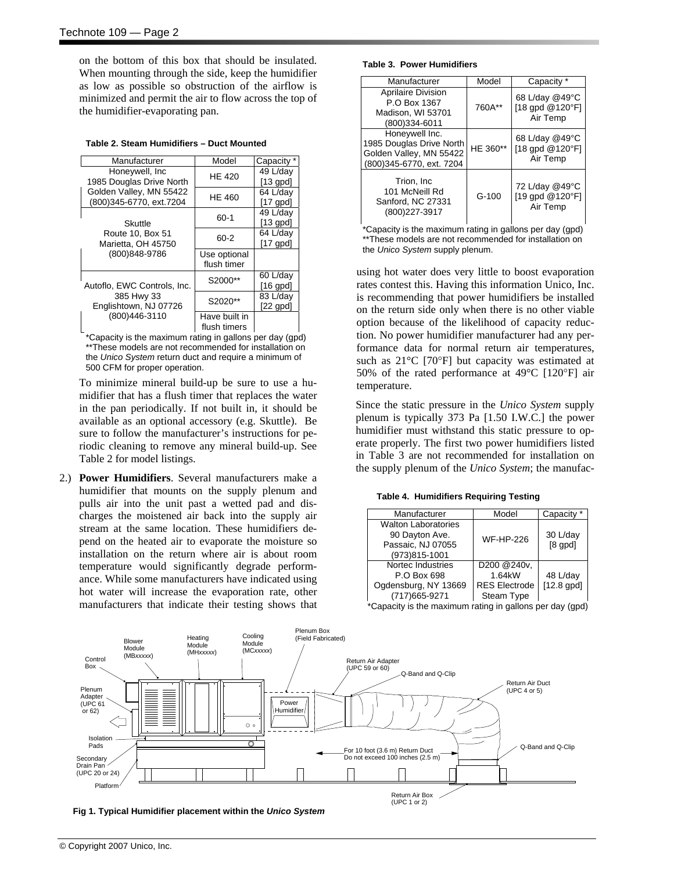on the bottom of this box that should be insulated. When mounting through the side, keep the humidifier as low as possible so obstruction of the airflow is minimized and permit the air to flow across the top of the humidifier-evaporating pan.

|  |  | Table 2. Steam Humidifiers - Duct Mounted |
|--|--|-------------------------------------------|
|--|--|-------------------------------------------|

| Manufacturer                                                       | Model         | Capacity *    |
|--------------------------------------------------------------------|---------------|---------------|
| Honeywell, Inc.                                                    | HE 420        | 49 L/day      |
| 1985 Douglas Drive North                                           |               | $[13$ gpd $]$ |
| Golden Valley, MN 55422                                            | <b>HE 460</b> | 64 L/day      |
| (800)345-6770, ext.7204                                            |               | $[17$ gpd     |
|                                                                    | 60-1          | 49 L/day      |
| Skuttle<br>Route 10, Box 51<br>Marietta, OH 45750<br>(800)848-9786 |               | $[13$ gpd $]$ |
|                                                                    | 60-2          | 64 L/day      |
|                                                                    |               | $[17$ gpd $]$ |
|                                                                    | Use optional  |               |
|                                                                    | flush timer   |               |
|                                                                    | S2000**       | 60 L/day      |
| Autoflo, EWC Controls, Inc.                                        |               | $[16$ gpd $]$ |
| 385 Hwy 33<br>Englishtown, NJ 07726<br>(800)446-3110               | S2020**       | 83 L/day      |
|                                                                    |               | $[22$ gpd]    |
|                                                                    | Have built in |               |
|                                                                    | flush timers  |               |

\*Capacity is the maximum rating in gallons per day (gpd) \*\*These models are not recommended for installation on the *Unico System* return duct and require a minimum of 500 CFM for proper operation.

To minimize mineral build-up be sure to use a humidifier that has a flush timer that replaces the water in the pan periodically. If not built in, it should be available as an optional accessory (e.g. Skuttle). Be sure to follow the manufacturer's instructions for periodic cleaning to remove any mineral build-up. See Table 2 for model listings.

2.) **Power Humidifiers**. Several manufacturers make a humidifier that mounts on the supply plenum and pulls air into the unit past a wetted pad and discharges the moistened air back into the supply air stream at the same location. These humidifiers depend on the heated air to evaporate the moisture so installation on the return where air is about room temperature would significantly degrade performance. While some manufacturers have indicated using hot water will increase the evaporation rate, other manufacturers that indicate their testing shows that

#### **Table 3. Power Humidifiers**

| Manufacturer                                                                                      | Model    | Capacity <sup>*</sup>                         |
|---------------------------------------------------------------------------------------------------|----------|-----------------------------------------------|
| Aprilaire Division<br>P.O Box 1367<br>Madison, WI 53701<br>(800)334-6011                          | 760A**   | 68 L/day @49°C<br>[18 gpd @120°F]<br>Air Temp |
| Honeywell Inc.<br>1985 Douglas Drive North<br>Golden Valley, MN 55422<br>(800)345-6770, ext. 7204 | HE 360** | 68 L/day @49°C<br>[18 qpd @120°F]<br>Air Temp |
| Trion. Inc.<br>101 McNeill Rd<br>Sanford, NC 27331<br>(800) 227-3917                              | $G-100$  | 72 L/day @49°C<br>[19 gpd @120°F]<br>Air Temp |

\*Capacity is the maximum rating in gallons per day (gpd) \*\*These models are not recommended for installation on the *Unico System* supply plenum.

using hot water does very little to boost evaporation rates contest this. Having this information Unico, Inc. is recommending that power humidifiers be installed on the return side only when there is no other viable option because of the likelihood of capacity reduction. No power humidifier manufacturer had any performance data for normal return air temperatures, such as 21°C [70°F] but capacity was estimated at 50% of the rated performance at 49°C [120°F] air temperature.

Since the static pressure in the *Unico System* supply plenum is typically 373 Pa [1.50 I.W.C.] the power humidifier must withstand this static pressure to operate properly. The first two power humidifiers listed in Table 3 are not recommended for installation on the supply plenum of the *Unico System*; the manufac-

**Table 4. Humidifiers Requiring Testing** 

| Manufacturer               | Model                | Capacity *               |
|----------------------------|----------------------|--------------------------|
| <b>Walton Laboratories</b> |                      |                          |
| 90 Dayton Ave.             | <b>WF-HP-226</b>     | 30 L/day                 |
| Passaic, NJ 07055          |                      | $[8$ gpd $]$             |
| (973)815-1001              |                      |                          |
| Nortec Industries          | D200 @240v,          |                          |
| P.O Box 698                | 1.64kW               | 48 L/day                 |
| Ogdensburg, NY 13669       | <b>RES Electrode</b> | $[12.8$ apd]             |
| (717) 665-9271             | Steam Type           |                          |
|                            |                      | $\overline{\phantom{a}}$ |

\*Capacity is the maximum rating in gallons per day (gpd)